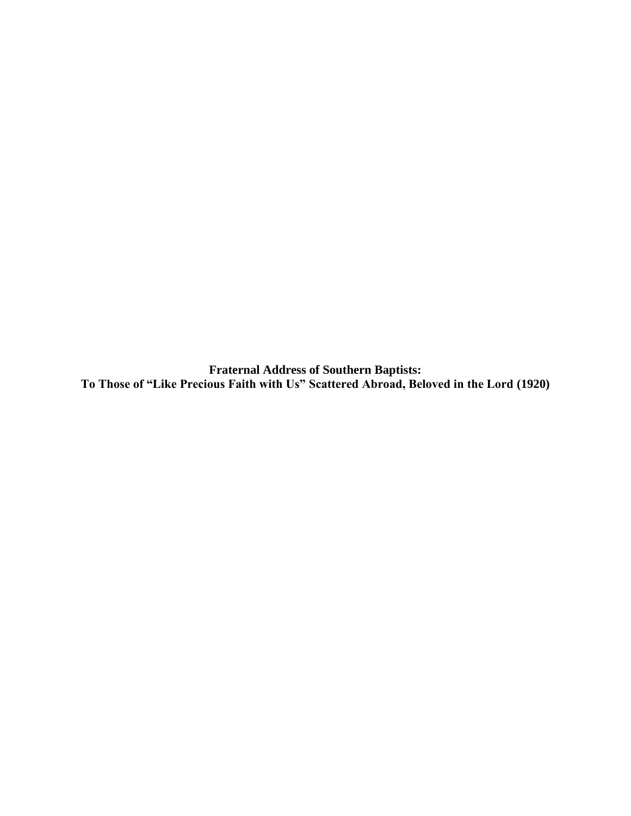**Fraternal Address of Southern Baptists: To Those of "Like Precious Faith with Us" Scattered Abroad, Beloved in the Lord (1920)**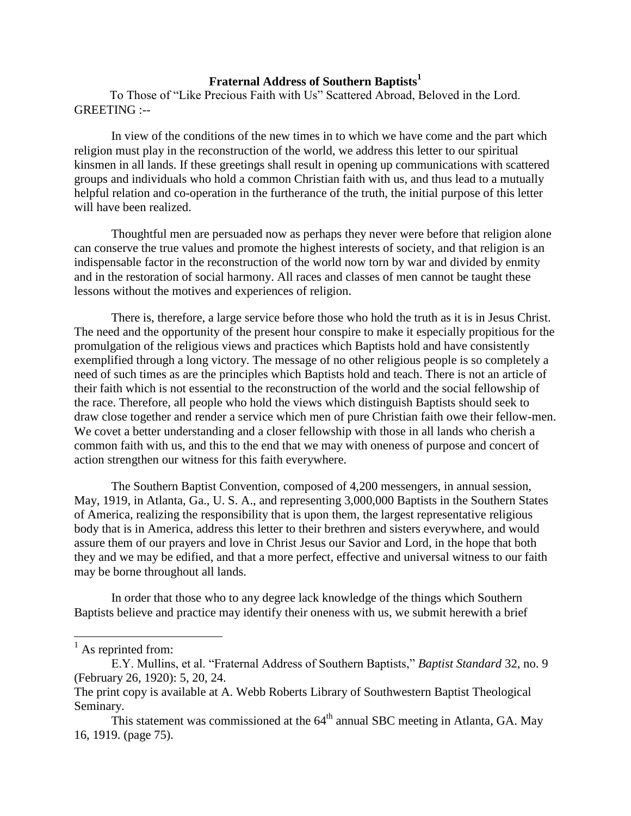# **Fraternal Address of Southern Baptists<sup>1</sup>**

To Those of "Like Precious Faith with Us" Scattered Abroad, Beloved in the Lord. GREETING :--

In view of the conditions of the new times in to which we have come and the part which religion must play in the reconstruction of the world, we address this letter to our spiritual kinsmen in all lands. If these greetings shall result in opening up communications with scattered groups and individuals who hold a common Christian faith with us, and thus lead to a mutually helpful relation and co-operation in the furtherance of the truth, the initial purpose of this letter will have been realized.

Thoughtful men are persuaded now as perhaps they never were before that religion alone can conserve the true values and promote the highest interests of society, and that religion is an indispensable factor in the reconstruction of the world now torn by war and divided by enmity and in the restoration of social harmony. All races and classes of men cannot be taught these lessons without the motives and experiences of religion.

There is, therefore, a large service before those who hold the truth as it is in Jesus Christ. The need and the opportunity of the present hour conspire to make it especially propitious for the promulgation of the religious views and practices which Baptists hold and have consistently exemplified through a long victory. The message of no other religious people is so completely a need of such times as are the principles which Baptists hold and teach. There is not an article of their faith which is not essential to the reconstruction of the world and the social fellowship of the race. Therefore, all people who hold the views which distinguish Baptists should seek to draw close together and render a service which men of pure Christian faith owe their fellow-men. We covet a better understanding and a closer fellowship with those in all lands who cherish a common faith with us, and this to the end that we may with oneness of purpose and concert of action strengthen our witness for this faith everywhere.

The Southern Baptist Convention, composed of 4,200 messengers, in annual session, May, 1919, in Atlanta, Ga., U. S. A., and representing 3,000,000 Baptists in the Southern States of America, realizing the responsibility that is upon them, the largest representative religious body that is in America, address this letter to their brethren and sisters everywhere, and would assure them of our prayers and love in Christ Jesus our Savior and Lord, in the hope that both they and we may be edified, and that a more perfect, effective and universal witness to our faith may be borne throughout all lands.

In order that those who to any degree lack knowledge of the things which Southern Baptists believe and practice may identify their oneness with us, we submit herewith a brief

 $\overline{\phantom{a}}$ 

 $<sup>1</sup>$  As reprinted from:</sup>

E.Y. Mullins, et al. "Fraternal Address of Southern Baptists," *Baptist Standard* 32, no. 9 (February 26, 1920): 5, 20, 24.

The print copy is available at A. Webb Roberts Library of Southwestern Baptist Theological Seminary.

This statement was commissioned at the  $64<sup>th</sup>$  annual SBC meeting in Atlanta, GA. May 16, 1919. (page 75).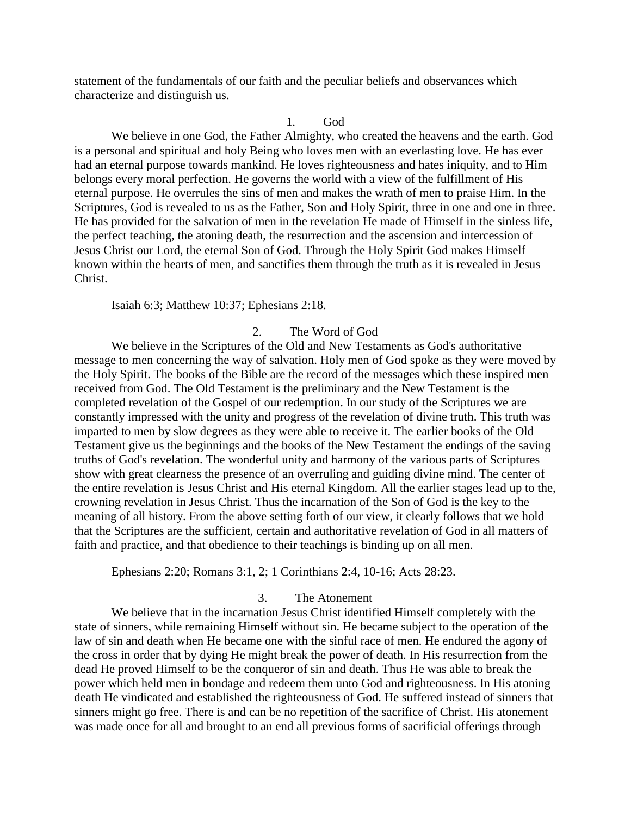statement of the fundamentals of our faith and the peculiar beliefs and observances which characterize and distinguish us.

### 1. God

We believe in one God, the Father Almighty, who created the heavens and the earth. God is a personal and spiritual and holy Being who loves men with an everlasting love. He has ever had an eternal purpose towards mankind. He loves righteousness and hates iniquity, and to Him belongs every moral perfection. He governs the world with a view of the fulfillment of His eternal purpose. He overrules the sins of men and makes the wrath of men to praise Him. In the Scriptures, God is revealed to us as the Father, Son and Holy Spirit, three in one and one in three. He has provided for the salvation of men in the revelation He made of Himself in the sinless life, the perfect teaching, the atoning death, the resurrection and the ascension and intercession of Jesus Christ our Lord, the eternal Son of God. Through the Holy Spirit God makes Himself known within the hearts of men, and sanctifies them through the truth as it is revealed in Jesus Christ.

### Isaiah 6:3; Matthew 10:37; Ephesians 2:18.

# 2. The Word of God

We believe in the Scriptures of the Old and New Testaments as God's authoritative message to men concerning the way of salvation. Holy men of God spoke as they were moved by the Holy Spirit. The books of the Bible are the record of the messages which these inspired men received from God. The Old Testament is the preliminary and the New Testament is the completed revelation of the Gospel of our redemption. In our study of the Scriptures we are constantly impressed with the unity and progress of the revelation of divine truth. This truth was imparted to men by slow degrees as they were able to receive it. The earlier books of the Old Testament give us the beginnings and the books of the New Testament the endings of the saving truths of God's revelation. The wonderful unity and harmony of the various parts of Scriptures show with great clearness the presence of an overruling and guiding divine mind. The center of the entire revelation is Jesus Christ and His eternal Kingdom. All the earlier stages lead up to the, crowning revelation in Jesus Christ. Thus the incarnation of the Son of God is the key to the meaning of all history. From the above setting forth of our view, it clearly follows that we hold that the Scriptures are the sufficient, certain and authoritative revelation of God in all matters of faith and practice, and that obedience to their teachings is binding up on all men.

Ephesians 2:20; Romans 3:1, 2; 1 Corinthians 2:4, 10-16; Acts 28:23.

## 3. The Atonement

We believe that in the incarnation Jesus Christ identified Himself completely with the state of sinners, while remaining Himself without sin. He became subject to the operation of the law of sin and death when He became one with the sinful race of men. He endured the agony of the cross in order that by dying He might break the power of death. In His resurrection from the dead He proved Himself to be the conqueror of sin and death. Thus He was able to break the power which held men in bondage and redeem them unto God and righteousness. In His atoning death He vindicated and established the righteousness of God. He suffered instead of sinners that sinners might go free. There is and can be no repetition of the sacrifice of Christ. His atonement was made once for all and brought to an end all previous forms of sacrificial offerings through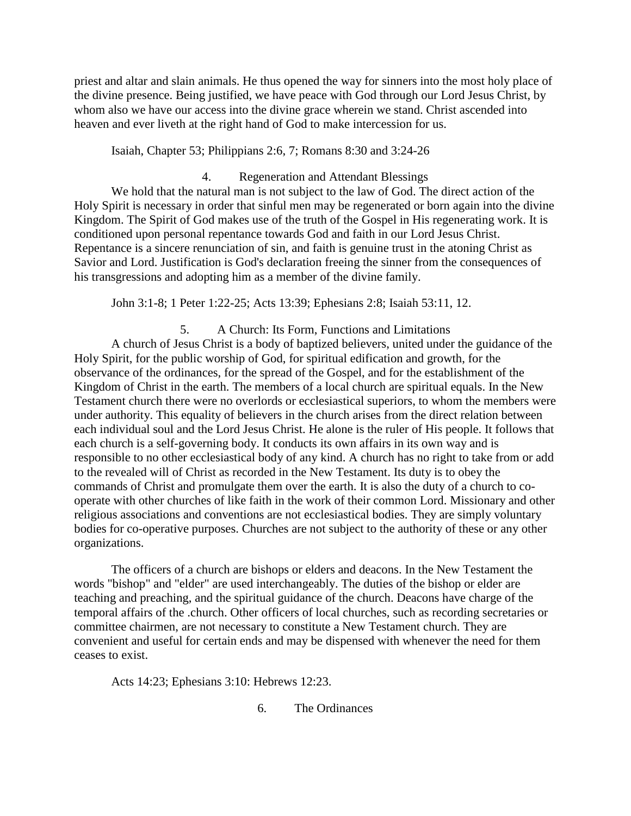priest and altar and slain animals. He thus opened the way for sinners into the most holy place of the divine presence. Being justified, we have peace with God through our Lord Jesus Christ, by whom also we have our access into the divine grace wherein we stand. Christ ascended into heaven and ever liveth at the right hand of God to make intercession for us.

Isaiah, Chapter 53; Philippians 2:6, 7; Romans 8:30 and 3:24-26

4. Regeneration and Attendant Blessings

We hold that the natural man is not subject to the law of God. The direct action of the Holy Spirit is necessary in order that sinful men may be regenerated or born again into the divine Kingdom. The Spirit of God makes use of the truth of the Gospel in His regenerating work. It is conditioned upon personal repentance towards God and faith in our Lord Jesus Christ. Repentance is a sincere renunciation of sin, and faith is genuine trust in the atoning Christ as Savior and Lord. Justification is God's declaration freeing the sinner from the consequences of his transgressions and adopting him as a member of the divine family.

John 3:1-8; 1 Peter 1:22-25; Acts 13:39; Ephesians 2:8; Isaiah 53:11, 12.

5. A Church: Its Form, Functions and Limitations A church of Jesus Christ is a body of baptized believers, united under the guidance of the Holy Spirit, for the public worship of God, for spiritual edification and growth, for the observance of the ordinances, for the spread of the Gospel, and for the establishment of the Kingdom of Christ in the earth. The members of a local church are spiritual equals. In the New Testament church there were no overlords or ecclesiastical superiors, to whom the members were under authority. This equality of believers in the church arises from the direct relation between each individual soul and the Lord Jesus Christ. He alone is the ruler of His people. It follows that each church is a self-governing body. It conducts its own affairs in its own way and is responsible to no other ecclesiastical body of any kind. A church has no right to take from or add to the revealed will of Christ as recorded in the New Testament. Its duty is to obey the commands of Christ and promulgate them over the earth. It is also the duty of a church to cooperate with other churches of like faith in the work of their common Lord. Missionary and other religious associations and conventions are not ecclesiastical bodies. They are simply voluntary bodies for co-operative purposes. Churches are not subject to the authority of these or any other organizations.

The officers of a church are bishops or elders and deacons. In the New Testament the words "bishop" and "elder" are used interchangeably. The duties of the bishop or elder are teaching and preaching, and the spiritual guidance of the church. Deacons have charge of the temporal affairs of the .church. Other officers of local churches, such as recording secretaries or committee chairmen, are not necessary to constitute a New Testament church. They are convenient and useful for certain ends and may be dispensed with whenever the need for them ceases to exist.

Acts 14:23; Ephesians 3:10: Hebrews 12:23.

6. The Ordinances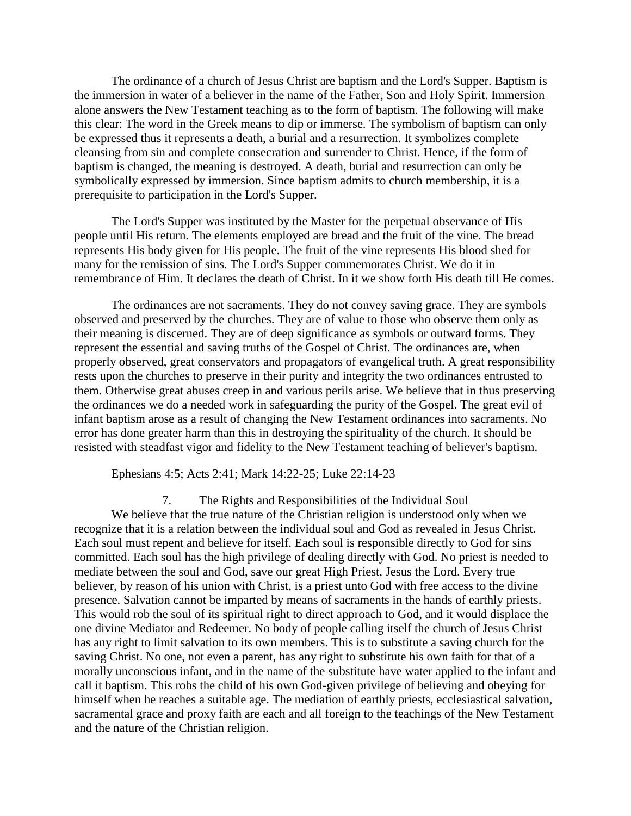The ordinance of a church of Jesus Christ are baptism and the Lord's Supper. Baptism is the immersion in water of a believer in the name of the Father, Son and Holy Spirit. Immersion alone answers the New Testament teaching as to the form of baptism. The following will make this clear: The word in the Greek means to dip or immerse. The symbolism of baptism can only be expressed thus it represents a death, a burial and a resurrection. It symbolizes complete cleansing from sin and complete consecration and surrender to Christ. Hence, if the form of baptism is changed, the meaning is destroyed. A death, burial and resurrection can only be symbolically expressed by immersion. Since baptism admits to church membership, it is a prerequisite to participation in the Lord's Supper.

The Lord's Supper was instituted by the Master for the perpetual observance of His people until His return. The elements employed are bread and the fruit of the vine. The bread represents His body given for His people. The fruit of the vine represents His blood shed for many for the remission of sins. The Lord's Supper commemorates Christ. We do it in remembrance of Him. It declares the death of Christ. In it we show forth His death till He comes.

The ordinances are not sacraments. They do not convey saving grace. They are symbols observed and preserved by the churches. They are of value to those who observe them only as their meaning is discerned. They are of deep significance as symbols or outward forms. They represent the essential and saving truths of the Gospel of Christ. The ordinances are, when properly observed, great conservators and propagators of evangelical truth. A great responsibility rests upon the churches to preserve in their purity and integrity the two ordinances entrusted to them. Otherwise great abuses creep in and various perils arise. We believe that in thus preserving the ordinances we do a needed work in safeguarding the purity of the Gospel. The great evil of infant baptism arose as a result of changing the New Testament ordinances into sacraments. No error has done greater harm than this in destroying the spirituality of the church. It should be resisted with steadfast vigor and fidelity to the New Testament teaching of believer's baptism.

Ephesians 4:5; Acts 2:41; Mark 14:22-25; Luke 22:14-23

7. The Rights and Responsibilities of the Individual Soul We believe that the true nature of the Christian religion is understood only when we recognize that it is a relation between the individual soul and God as revealed in Jesus Christ. Each soul must repent and believe for itself. Each soul is responsible directly to God for sins committed. Each soul has the high privilege of dealing directly with God. No priest is needed to mediate between the soul and God, save our great High Priest, Jesus the Lord. Every true believer, by reason of his union with Christ, is a priest unto God with free access to the divine presence. Salvation cannot be imparted by means of sacraments in the hands of earthly priests. This would rob the soul of its spiritual right to direct approach to God, and it would displace the one divine Mediator and Redeemer. No body of people calling itself the church of Jesus Christ has any right to limit salvation to its own members. This is to substitute a saving church for the saving Christ. No one, not even a parent, has any right to substitute his own faith for that of a morally unconscious infant, and in the name of the substitute have water applied to the infant and call it baptism. This robs the child of his own God-given privilege of believing and obeying for himself when he reaches a suitable age. The mediation of earthly priests, ecclesiastical salvation, sacramental grace and proxy faith are each and all foreign to the teachings of the New Testament and the nature of the Christian religion.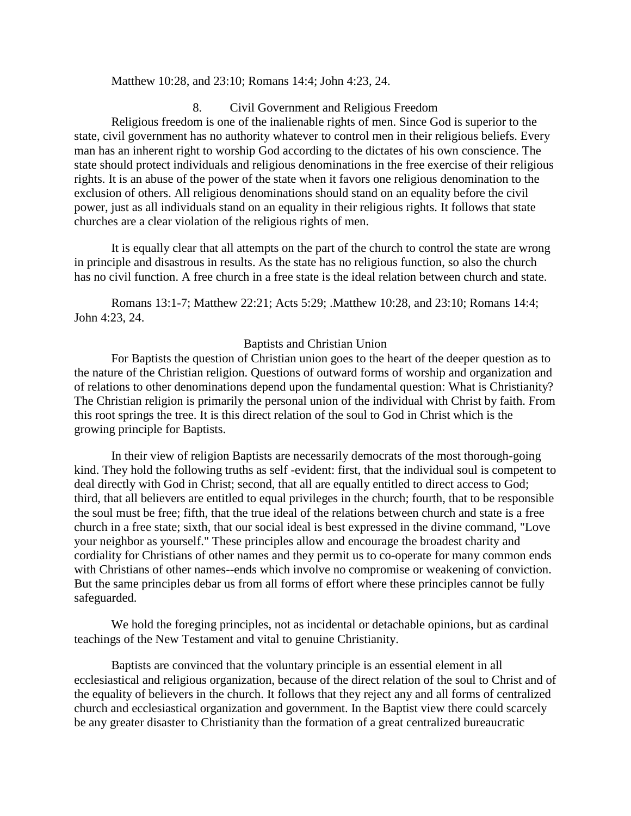## Matthew 10:28, and 23:10; Romans 14:4; John 4:23, 24.

8. Civil Government and Religious Freedom Religious freedom is one of the inalienable rights of men. Since God is superior to the state, civil government has no authority whatever to control men in their religious beliefs. Every man has an inherent right to worship God according to the dictates of his own conscience. The state should protect individuals and religious denominations in the free exercise of their religious rights. It is an abuse of the power of the state when it favors one religious denomination to the exclusion of others. All religious denominations should stand on an equality before the civil power, just as all individuals stand on an equality in their religious rights. It follows that state churches are a clear violation of the religious rights of men.

It is equally clear that all attempts on the part of the church to control the state are wrong in principle and disastrous in results. As the state has no religious function, so also the church has no civil function. A free church in a free state is the ideal relation between church and state.

Romans 13:1-7; Matthew 22:21; Acts 5:29; .Matthew 10:28, and 23:10; Romans 14:4; John 4:23, 24.

### Baptists and Christian Union

For Baptists the question of Christian union goes to the heart of the deeper question as to the nature of the Christian religion. Questions of outward forms of worship and organization and of relations to other denominations depend upon the fundamental question: What is Christianity? The Christian religion is primarily the personal union of the individual with Christ by faith. From this root springs the tree. It is this direct relation of the soul to God in Christ which is the growing principle for Baptists.

In their view of religion Baptists are necessarily democrats of the most thorough-going kind. They hold the following truths as self -evident: first, that the individual soul is competent to deal directly with God in Christ; second, that all are equally entitled to direct access to God; third, that all believers are entitled to equal privileges in the church; fourth, that to be responsible the soul must be free; fifth, that the true ideal of the relations between church and state is a free church in a free state; sixth, that our social ideal is best expressed in the divine command, "Love your neighbor as yourself." These principles allow and encourage the broadest charity and cordiality for Christians of other names and they permit us to co-operate for many common ends with Christians of other names--ends which involve no compromise or weakening of conviction. But the same principles debar us from all forms of effort where these principles cannot be fully safeguarded.

We hold the foreging principles, not as incidental or detachable opinions, but as cardinal teachings of the New Testament and vital to genuine Christianity.

Baptists are convinced that the voluntary principle is an essential element in all ecclesiastical and religious organization, because of the direct relation of the soul to Christ and of the equality of believers in the church. It follows that they reject any and all forms of centralized church and ecclesiastical organization and government. In the Baptist view there could scarcely be any greater disaster to Christianity than the formation of a great centralized bureaucratic